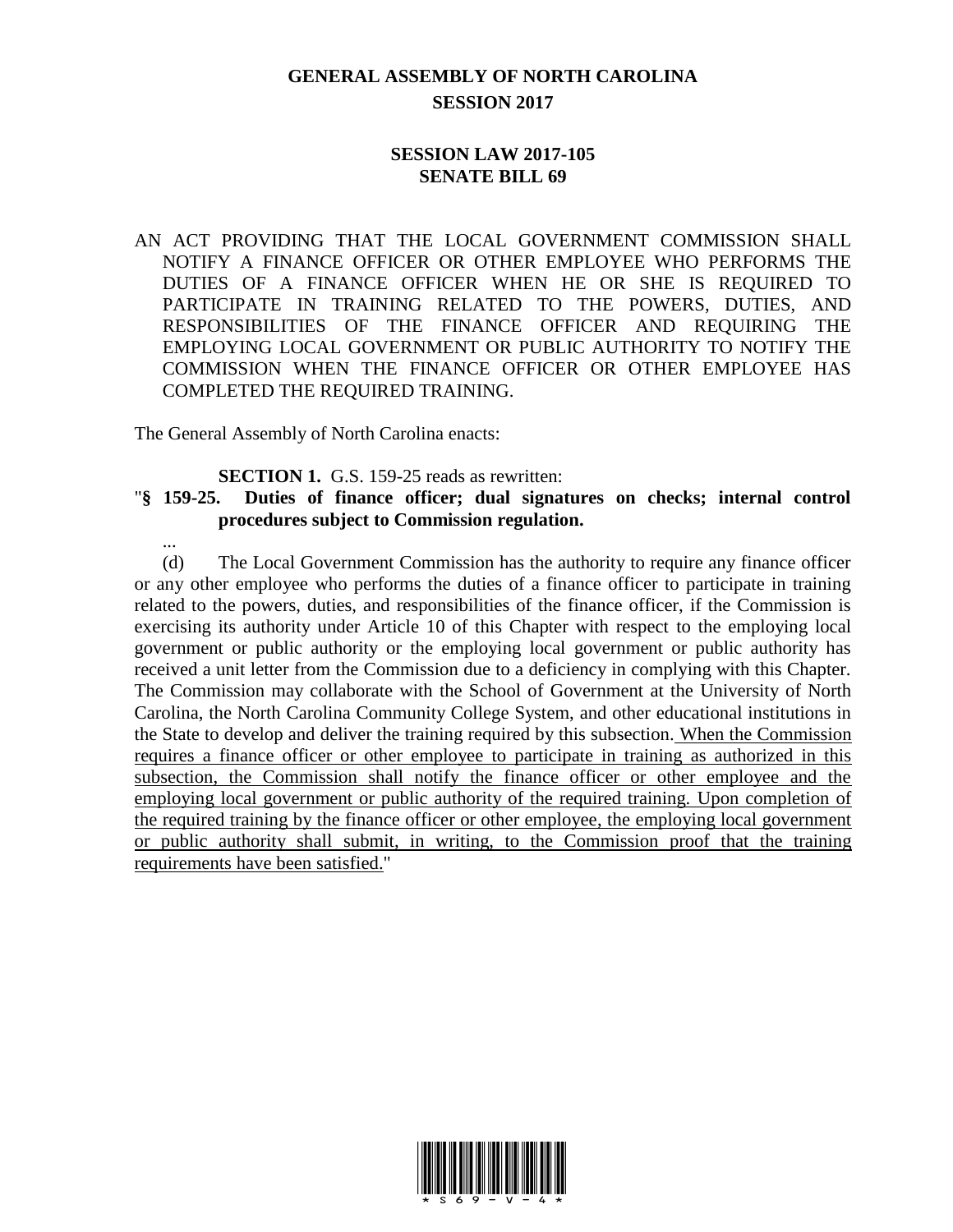## **GENERAL ASSEMBLY OF NORTH CAROLINA SESSION 2017**

## **SESSION LAW 2017-105 SENATE BILL 69**

AN ACT PROVIDING THAT THE LOCAL GOVERNMENT COMMISSION SHALL NOTIFY A FINANCE OFFICER OR OTHER EMPLOYEE WHO PERFORMS THE DUTIES OF A FINANCE OFFICER WHEN HE OR SHE IS REQUIRED TO PARTICIPATE IN TRAINING RELATED TO THE POWERS, DUTIES, AND RESPONSIBILITIES OF THE FINANCE OFFICER AND REQUIRING THE EMPLOYING LOCAL GOVERNMENT OR PUBLIC AUTHORITY TO NOTIFY THE COMMISSION WHEN THE FINANCE OFFICER OR OTHER EMPLOYEE HAS COMPLETED THE REQUIRED TRAINING.

The General Assembly of North Carolina enacts:

...

**SECTION 1.** G.S. 159-25 reads as rewritten:

## "**§ 159-25. Duties of finance officer; dual signatures on checks; internal control procedures subject to Commission regulation.**

(d) The Local Government Commission has the authority to require any finance officer or any other employee who performs the duties of a finance officer to participate in training related to the powers, duties, and responsibilities of the finance officer, if the Commission is exercising its authority under Article 10 of this Chapter with respect to the employing local government or public authority or the employing local government or public authority has received a unit letter from the Commission due to a deficiency in complying with this Chapter. The Commission may collaborate with the School of Government at the University of North Carolina, the North Carolina Community College System, and other educational institutions in the State to develop and deliver the training required by this subsection. When the Commission requires a finance officer or other employee to participate in training as authorized in this subsection, the Commission shall notify the finance officer or other employee and the employing local government or public authority of the required training. Upon completion of the required training by the finance officer or other employee, the employing local government or public authority shall submit, in writing, to the Commission proof that the training requirements have been satisfied."